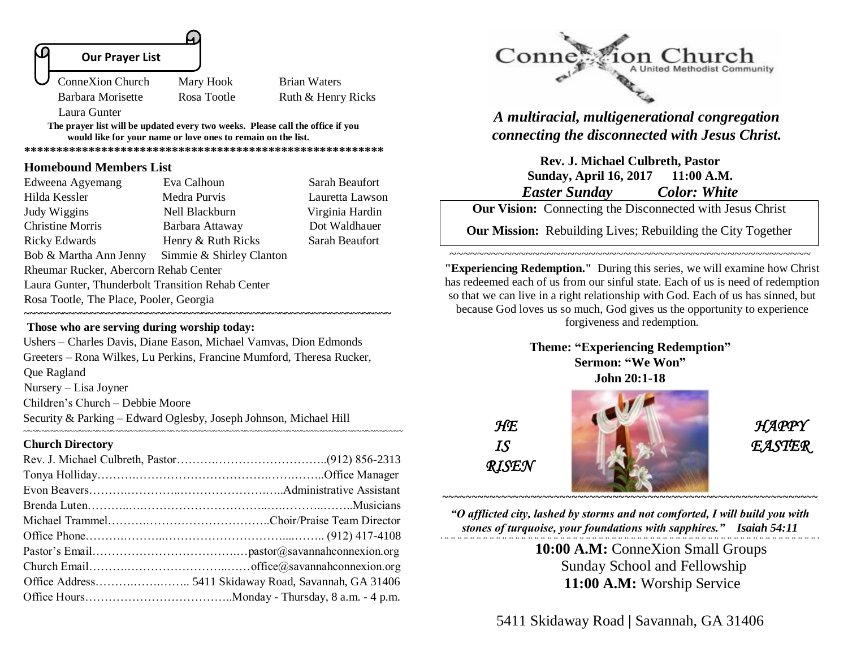

Barbara Morisette Rosa Tootle Ruth & Henry Ricks

**The prayer list will be updated every two weeks. Please call the office if you would like for your name or love ones to remain on the list.** 

**\*\*\*\*\*\*\*\*\*\*\*\*\*\*\*\*\*\*\*\*\*\*\*\*\*\*\*\*\*\*\*\*\*\*\*\*\*\*\*\*\*\*\*\*\*\*\*\*\*\*\*\*\*\*\*\***

### **Homebound Members List**

Laura Gunter

| Edweena Agyemang                                  | Eva Calhoun              | Sarah Beaufort  |  |
|---------------------------------------------------|--------------------------|-----------------|--|
| Hilda Kessler                                     | Medra Purvis             | Lauretta Lawson |  |
| Judy Wiggins                                      | Nell Blackburn           | Virginia Hardin |  |
| <b>Christine Morris</b>                           | Barbara Attaway          | Dot Waldhauer   |  |
| <b>Ricky Edwards</b>                              | Henry & Ruth Ricks       | Sarah Beaufort  |  |
| Bob & Martha Ann Jenny                            | Simmie & Shirley Clanton |                 |  |
| Rheumar Rucker, Abercorn Rehab Center             |                          |                 |  |
| Laura Gunter, Thunderbolt Transition Rehab Center |                          |                 |  |
| Rosa Tootle, The Place, Pooler, Georgia           |                          |                 |  |
|                                                   |                          |                 |  |

### **Those who are serving during worship today:**

Ushers – Charles Davis, Diane Eason, Michael Vamvas, Dion Edmonds Greeters – Rona Wilkes, Lu Perkins, Francine Mumford, Theresa Rucker, Que Ragland Nursery – Lisa Joyner Children's Church – Debbie Moore Security & Parking – Edward Oglesby, Joseph Johnson, Michael Hill

#### **Church Directory**

~~~~~~~~~~~~~~~~~~~~~~~~~~~~~~~~~~~~~~~~~~~~~~~~~~~~~~~~~~~~~~~~~~~~~~~~~~~~~~~~~~



# *A multiracial, multigenerational congregation connecting the disconnected with Jesus Christ.*

**Rev. J. Michael Culbreth, Pastor Sunday, April 16, 2017 11:00 A.M.** *Easter Sunday Color: White*

**Our Vision:** Connecting the Disconnected with Jesus Christ

**Our Mission:** Rebuilding Lives; Rebuilding the City Together

~~~~~~~~~~~~~~~~~~~~~~~~~~~~~~~~~~~~~~~~~~~~~~~~~~~~

**"Experiencing Redemption."** During this series, we will examine how Christ has redeemed each of us from our sinful state. Each of us is need of redemption so that we can live in a right relationship with God. Each of us has sinned, but because God loves us so much, God gives us the opportunity to experience forgiveness and redemption.

> **Theme: "Experiencing Redemption" Sermon: "We Won" John 20:1-18**

 *RISEN*



*"O afflicted city, lashed by storms and not comforted, I will build you with stones of turquoise, your foundations with sapphires." Isaiah 54:11* 

> **10:00 A.M:** ConneXion Small Groups Sunday School and Fellowship  **11:00 A.M:** Worship Service

5411 Skidaway Road **|** Savannah, GA 31406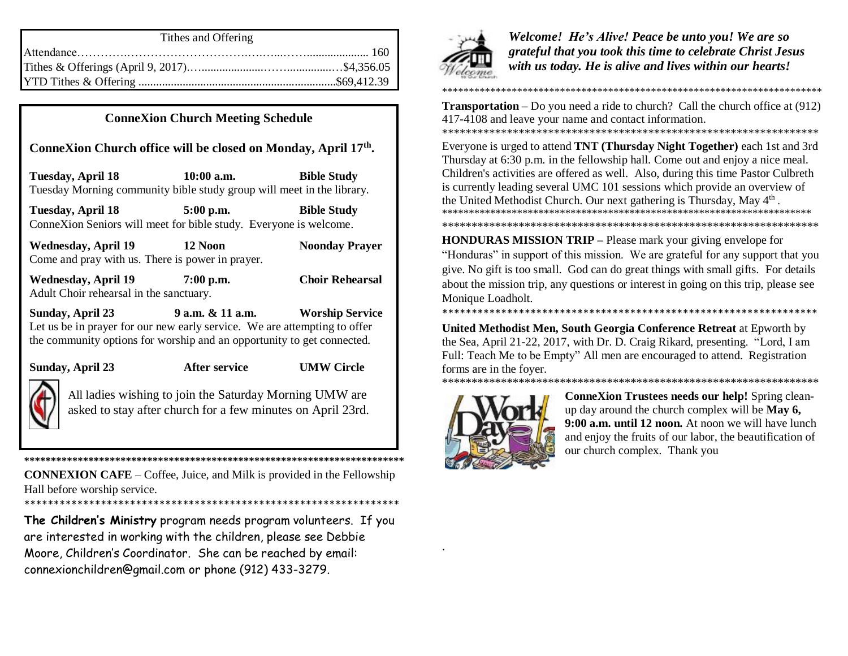| Tithes and Offering |
|---------------------|
|                     |
|                     |
|                     |

# **ConneXion Church Meeting Schedule**

# **ConneXion Church office will be closed on Monday, April 17th .**

**Tuesday, April 18 10:00 a.m. Bible Study** Tuesday Morning community bible study group will meet in the library.

**Tuesday, April 18 5:00 p.m. Bible Study** ConneXion Seniors will meet for bible study. Everyone is welcome.

**Wednesday, April 19 12 Noon Noonday Prayer** Come and pray with us. There is power in prayer.

**Wednesday, April 19 7:00 p.m. Choir Rehearsal** Adult Choir rehearsal in the sanctuary.

**Sunday, April 23 9 a.m. & 11 a.m. Worship Service** Let us be in prayer for our new early service. We are attempting to offer the community options for worship and an opportunity to get connected.

**Sunday, April 23 After service UMW Circle**



All ladies wishing to join the Saturday Morning UMW are asked to stay after church for a few minutes on April 23rd.

**CONNEXION CAFE** – Coffee, Juice, and Milk is provided in the Fellowship Hall before worship service. \*\*\*\*\*\*\*\*\*\*\*\*\*\*\*\*\*\*\*\*\*\*\*\*\*\*\*\*\*\*\*\*\*\*\*\*\*\*\*\*\*\*\*\*\*\*\*\*\*\*\*\*\*\*\*\*\*\*\*\*\*\*\*\*

**\*\*\*\*\*\*\*\*\*\*\*\*\*\*\*\*\*\*\*\*\*\*\*\*\*\*\*\*\*\*\*\*\*\*\*\*\*\*\*\*\*\*\*\*\*\*\*\*\*\*\*\*\*\*\*\*\*\*\*\*\*\*\*\*\*\*\*\*\*\*\***

**The Children's Ministry** program needs program volunteers. If you are interested in working with the children, please see Debbie Moore, Children's Coordinator. She can be reached by email:

connexionchildren@gmail.com or phone (912) 433-3279.



*Welcome! He's Alive! Peace be unto you! We are so grateful that you took this time to celebrate Christ Jesus with us today. He is alive and lives within our hearts!* 

\*\*\*\*\*\*\*\*\*\*\*\*\*\*\*\*\*\*\*\*\*\*\*\*\*\*\*\*\*\*\*\*\*\*\*\*\*\*\*\*\*\*\*\*\*\*\*\*\*\*\*\*\*\*\*\*\*\*\*\*\*\*\*\*\*\*\*\*\*\*\*

**Transportation** – Do you need a ride to church? Call the church office at (912) 417-4108 and leave your name and contact information.

\*\*\*\*\*\*\*\*\*\*\*\*\*\*\*\*\*\*\*\*\*\*\*\*\*\*\*\*\*\*\*\*\*\*\*\*\*\*\*\*\*\*\*\*\*\*\*\*\*\*\*\*\*\*\*\*\*\*\*\*\*\*\*\* Everyone is urged to attend **TNT (Thursday Night Together)** each 1st and 3rd Thursday at 6:30 p.m. in the fellowship hall. Come out and enjoy a nice meal. Children's activities are offered as well. Also, during this time Pastor Culbreth is currently leading several UMC 101 sessions which provide an overview of the United Methodist Church. Our next gathering is Thursday, May 4<sup>th</sup>. \*\*\*\*\*\*\*\*\*\*\*\*\*\*\*\*\*\*\*\*\*\*\*\*\*\*\*\*\*\*\*\*\*\*\*\*\*\*\*\*\*\*\*\*\*\*\*\*\*\*\*\*\*\*\*\*\*\*\*\*\*\*\*\*\*\*\*\*\*

**HONDURAS MISSION TRIP –** Please mark your giving envelope for "Honduras" in support of this mission. We are grateful for any support that you give. No gift is too small. God can do great things with small gifts. For details about the mission trip, any questions or interest in going on this trip, please see Monique Loadholt.

\*\*\*\*\*\*\*\*\*\*\*\*\*\*\*\*\*\*\*\*\*\*\*\*\*\*\*\*\*\*\*\*\*\*\*\*\*\*\*\*\*\*\*\*\*\*\*\*\*\*\*\*\*\*\*\*\*\*\*\*\*\*\*\*

\*\*\*\*\*\*\*\*\*\*\*\*\*\*\*\*\*\*\*\*\*\*\*\*\*\*\*\*\*\*\*\*\*\*\*\*\*\*\*\*\*\*\*\*\*\*\*\*\*\*\*\*\*\*\*\*\*\*\*\*\*\*\*\*

**United Methodist Men, South Georgia Conference Retreat** at Epworth by the Sea, April 21-22, 2017, with Dr. D. Craig Rikard, presenting. "Lord, I am Full: Teach Me to be Empty" All men are encouraged to attend. Registration forms are in the foyer. \*\*\*\*\*\*\*\*\*\*\*\*\*\*\*\*\*\*\*\*\*\*\*\*\*\*\*\*\*\*\*\*\*\*\*\*\*\*\*\*\*\*\*\*\*\*\*\*\*\*\*\*\*\*\*\*\*\*\*\*\*\*\*\*



.

**ConneXion Trustees needs our help!** Spring cleanup day around the church complex will be **May 6, 9:00 a.m. until 12 noon.** At noon we will have lunch and enjoy the fruits of our labor, the beautification of our church complex. Thank you